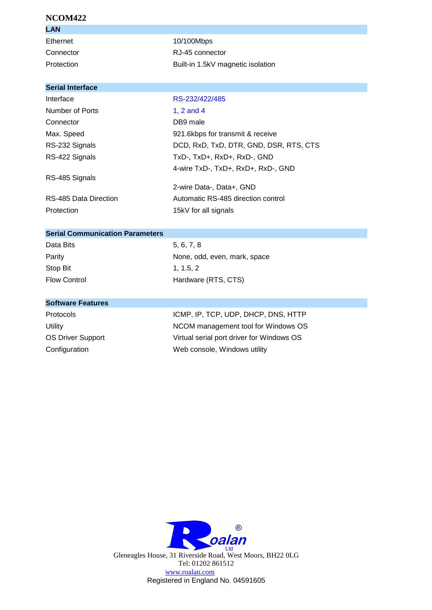## **NCOM422**

| LAN        |                                   |
|------------|-----------------------------------|
| Ethernet   | 10/100Mbps                        |
| Connector  | RJ-45 connector                   |
| Protection | Built-in 1.5kV magnetic isolation |

# **Serial Interface**

# Interface RS-232/422/485

| Number of Ports       | 1, $2$ and $4$                         |
|-----------------------|----------------------------------------|
| Connector             | DB9 male                               |
| Max. Speed            | 921.6kbps for transmit & receive       |
| RS-232 Signals        | DCD, RxD, TxD, DTR, GND, DSR, RTS, CTS |
| RS-422 Signals        | TxD-, TxD+, RxD+, RxD-, GND            |
|                       | 4-wire TxD-, TxD+, RxD+, RxD-, GND     |
| RS-485 Signals        |                                        |
|                       | 2-wire Data-, Data+, GND               |
| RS-485 Data Direction | Automatic RS-485 direction control     |
| Protection            | 15kV for all signals                   |

#### **Serial Communication Parameters**

| Data Bits           | 5, 6, 7, 8 |
|---------------------|------------|
| Parity              | None, od   |
| Stop Bit            | 1.1.5.2    |
| <b>Flow Control</b> | Hardware   |

None, odd, even, mark, space  $1, 1.5, 2$ Hardware (RTS, CTS)

## **Software Features**

Protocols ICMP, IP, TCP, UDP, DHCP, DNS, HTTP Utility Utility **NCOM** management tool for Windows OS OS Driver Support Virtual serial port driver for Windows OS Configuration Web console, Windows utility



Gleneagles House, 31 Riverside Road, West Moors, BH22 0LG Tel: 01202 861512 www.roalan.com Registered in England No. 04591605